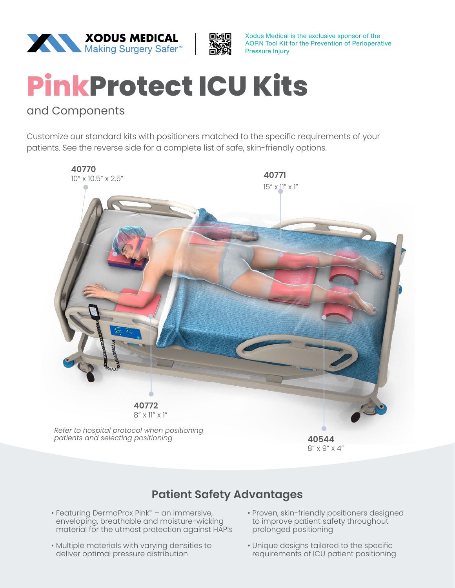



Xodus Medical is the exclusive sponsor of the AORN Tool Kit for the Prevention of Perioperative Pressure Injury

## **PinkProtect ICU Kits**

## and Components

Customize our standard kits with positioners matched to the specific requirements of your patients. See the reverse side for a complete list of safe, skin-friendly options.



## **Patient Safety Advantages**

- Featuring DermaProx Pink™ an immersive, enveloping, breathable and moisture-wicking material for the utmost protection against HAPIs
- Multiple materials with varying densities to deliver optimal pressure distribution
- Proven, skin-friendly positioners designed to improve patient safety throughout prolonged positioning
- Unique designs tailored to the specific requirements of ICU patient positioning